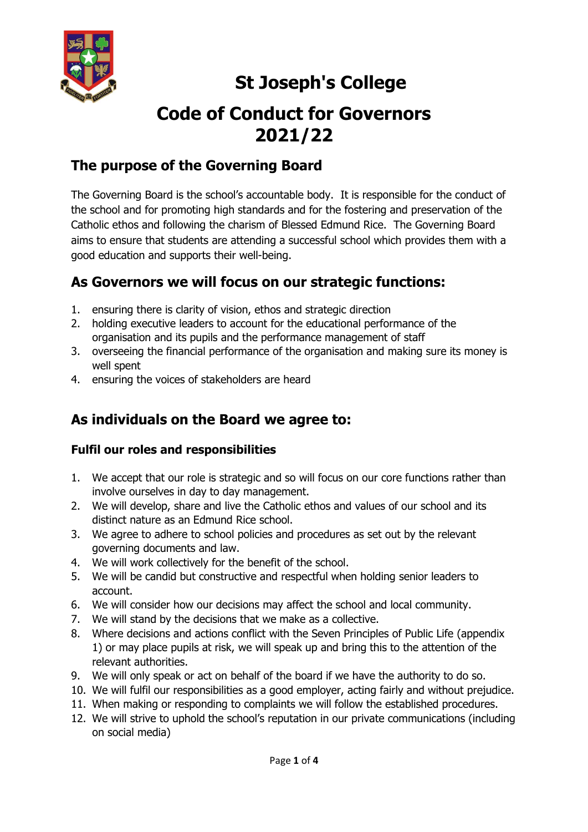

# **St Joseph's College**

# **Code of Conduct for Governors 2021/22**

## **The purpose of the Governing Board**

The Governing Board is the school's accountable body. It is responsible for the conduct of the school and for promoting high standards and for the fostering and preservation of the Catholic ethos and following the charism of Blessed Edmund Rice. The Governing Board aims to ensure that students are attending a successful school which provides them with a good education and supports their well-being.

## **As Governors we will focus on our strategic functions:**

- 1. ensuring there is clarity of vision, ethos and strategic direction
- 2. holding executive leaders to account for the educational performance of the organisation and its pupils and the performance management of staff
- 3. overseeing the financial performance of the organisation and making sure its money is well spent
- 4. ensuring the voices of stakeholders are heard

# **As individuals on the Board we agree to:**

## **Fulfil our roles and responsibilities**

- 1. We accept that our role is strategic and so will focus on our core functions rather than involve ourselves in day to day management.
- 2. We will develop, share and live the Catholic ethos and values of our school and its distinct nature as an Edmund Rice school.
- 3. We agree to adhere to school policies and procedures as set out by the relevant governing documents and law.
- 4. We will work collectively for the benefit of the school.
- 5. We will be candid but constructive and respectful when holding senior leaders to account.
- 6. We will consider how our decisions may affect the school and local community.
- 7. We will stand by the decisions that we make as a collective.
- 8. Where decisions and actions conflict with the Seven Principles of Public Life (appendix 1) or may place pupils at risk, we will speak up and bring this to the attention of the relevant authorities.
- 9. We will only speak or act on behalf of the board if we have the authority to do so.
- 10. We will fulfil our responsibilities as a good employer, acting fairly and without prejudice.
- 11. When making or responding to complaints we will follow the established procedures.
- 12. We will strive to uphold the school's reputation in our private communications (including on social media)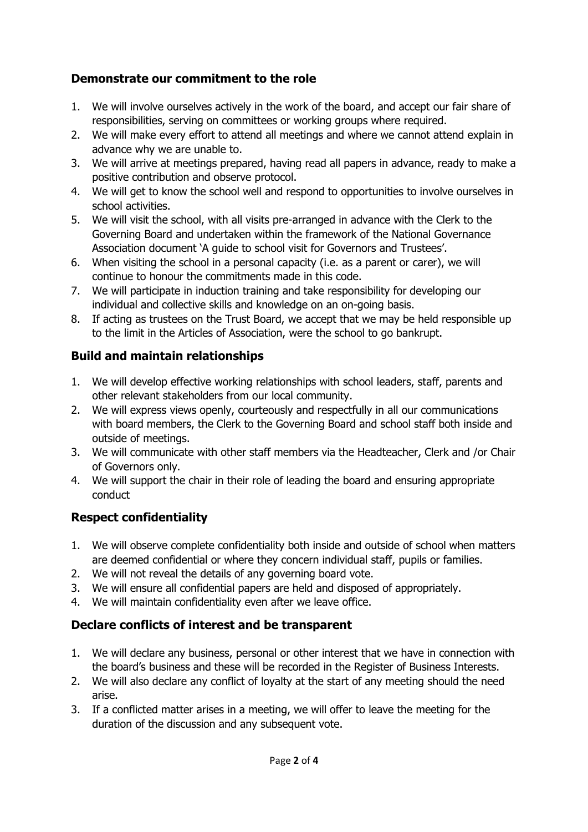## **Demonstrate our commitment to the role**

- 1. We will involve ourselves actively in the work of the board, and accept our fair share of responsibilities, serving on committees or working groups where required.
- 2. We will make every effort to attend all meetings and where we cannot attend explain in advance why we are unable to.
- 3. We will arrive at meetings prepared, having read all papers in advance, ready to make a positive contribution and observe protocol.
- 4. We will get to know the school well and respond to opportunities to involve ourselves in school activities.
- 5. We will visit the school, with all visits pre-arranged in advance with the Clerk to the Governing Board and undertaken within the framework of the National Governance Association document 'A guide to school visit for Governors and Trustees'.
- 6. When visiting the school in a personal capacity (i.e. as a parent or carer), we will continue to honour the commitments made in this code.
- 7. We will participate in induction training and take responsibility for developing our individual and collective skills and knowledge on an on-going basis.
- 8. If acting as trustees on the Trust Board, we accept that we may be held responsible up to the limit in the Articles of Association, were the school to go bankrupt.

## **Build and maintain relationships**

- 1. We will develop effective working relationships with school leaders, staff, parents and other relevant stakeholders from our local community.
- 2. We will express views openly, courteously and respectfully in all our communications with board members, the Clerk to the Governing Board and school staff both inside and outside of meetings.
- 3. We will communicate with other staff members via the Headteacher, Clerk and /or Chair of Governors only.
- 4. We will support the chair in their role of leading the board and ensuring appropriate conduct

## **Respect confidentiality**

- 1. We will observe complete confidentiality both inside and outside of school when matters are deemed confidential or where they concern individual staff, pupils or families.
- 2. We will not reveal the details of any governing board vote.
- 3. We will ensure all confidential papers are held and disposed of appropriately.
- 4. We will maintain confidentiality even after we leave office.

#### **Declare conflicts of interest and be transparent**

- 1. We will declare any business, personal or other interest that we have in connection with the board's business and these will be recorded in the Register of Business Interests.
- 2. We will also declare any conflict of loyalty at the start of any meeting should the need arise.
- 3. If a conflicted matter arises in a meeting, we will offer to leave the meeting for the duration of the discussion and any subsequent vote.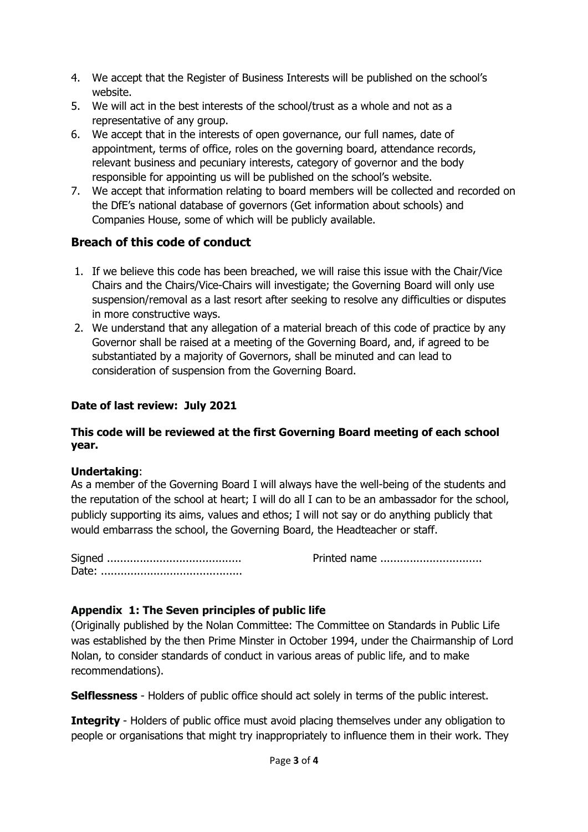- 4. We accept that the Register of Business Interests will be published on the school's website.
- 5. We will act in the best interests of the school/trust as a whole and not as a representative of any group.
- 6. We accept that in the interests of open governance, our full names, date of appointment, terms of office, roles on the governing board, attendance records, relevant business and pecuniary interests, category of governor and the body responsible for appointing us will be published on the school's website.
- 7. We accept that information relating to board members will be collected and recorded on the DfE's national database of governors (Get information about schools) and Companies House, some of which will be publicly available.

### **Breach of this code of conduct**

- 1. If we believe this code has been breached, we will raise this issue with the Chair/Vice Chairs and the Chairs/Vice-Chairs will investigate; the Governing Board will only use suspension/removal as a last resort after seeking to resolve any difficulties or disputes in more constructive ways.
- 2. We understand that any allegation of a material breach of this code of practice by any Governor shall be raised at a meeting of the Governing Board, and, if agreed to be substantiated by a majority of Governors, shall be minuted and can lead to consideration of suspension from the Governing Board.

#### **Date of last review: July 2021**

#### **This code will be reviewed at the first Governing Board meeting of each school year.**

#### **Undertaking**:

As a member of the Governing Board I will always have the well-being of the students and the reputation of the school at heart; I will do all I can to be an ambassador for the school, publicly supporting its aims, values and ethos; I will not say or do anything publicly that would embarrass the school, the Governing Board, the Headteacher or staff.

Signed ......................................... Printed name ............................... Date: ...........................................

#### **Appendix 1: The Seven principles of public life**

(Originally published by the Nolan Committee: The Committee on Standards in Public Life was established by the then Prime Minster in October 1994, under the Chairmanship of Lord Nolan, to consider standards of conduct in various areas of public life, and to make recommendations).

**Selflessness** - Holders of public office should act solely in terms of the public interest.

**Integrity** - Holders of public office must avoid placing themselves under any obligation to people or organisations that might try inappropriately to influence them in their work. They